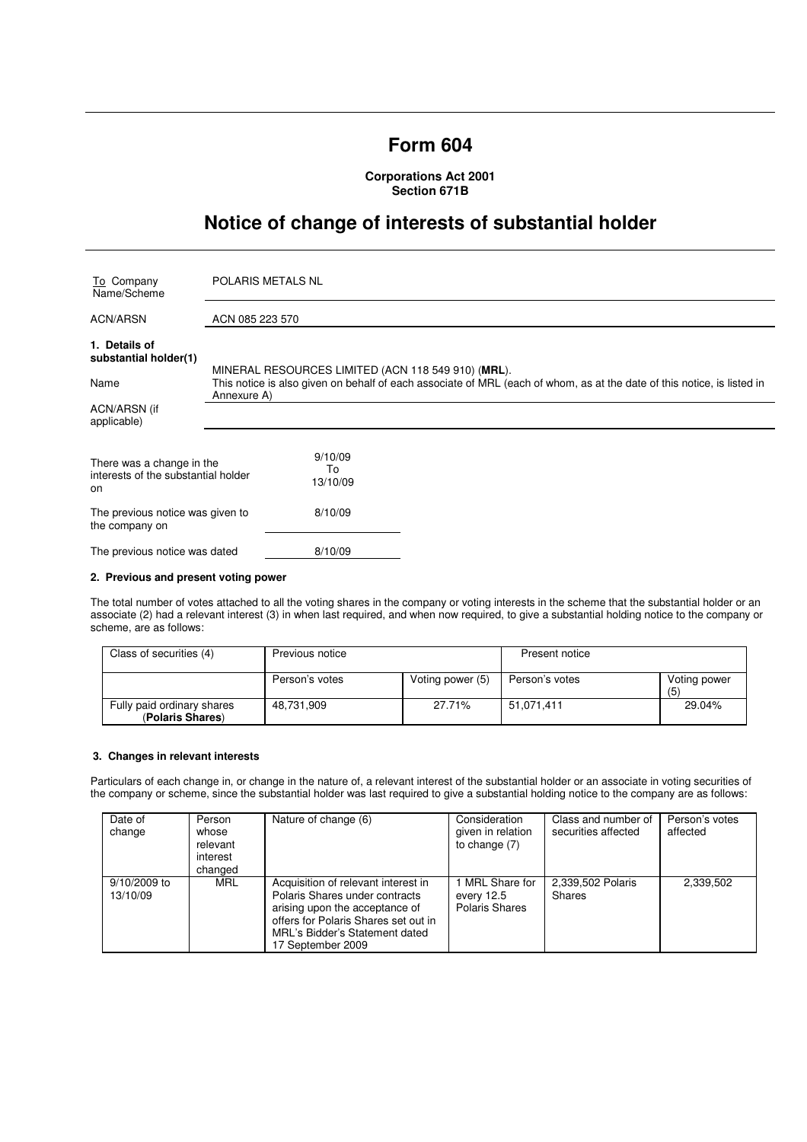# **Form 604**

**Corporations Act 2001 Section 671B** 

# **Notice of change of interests of substantial holder**

| To Company<br>Name/Scheme                                              | POLARIS METALS NL                                                                                                                                                             |  |  |
|------------------------------------------------------------------------|-------------------------------------------------------------------------------------------------------------------------------------------------------------------------------|--|--|
| <b>ACN/ARSN</b>                                                        | ACN 085 223 570                                                                                                                                                               |  |  |
| 1. Details of<br>substantial holder(1)<br>Name                         | MINERAL RESOURCES LIMITED (ACN 118 549 910) (MRL).<br>This notice is also given on behalf of each associate of MRL (each of whom, as at the date of this notice, is listed in |  |  |
| ACN/ARSN (if<br>applicable)                                            | Annexure A)                                                                                                                                                                   |  |  |
| There was a change in the<br>interests of the substantial holder<br>on | 9/10/09<br>To<br>13/10/09                                                                                                                                                     |  |  |
| The previous notice was given to<br>the company on                     | 8/10/09                                                                                                                                                                       |  |  |
| The previous notice was dated                                          | 8/10/09                                                                                                                                                                       |  |  |

### **2. Previous and present voting power**

The total number of votes attached to all the voting shares in the company or voting interests in the scheme that the substantial holder or an associate (2) had a relevant interest (3) in when last required, and when now required, to give a substantial holding notice to the company or scheme, are as follows:

| Class of securities (4)                        | Previous notice |                  | Present notice |                     |
|------------------------------------------------|-----------------|------------------|----------------|---------------------|
|                                                | Person's votes  | Voting power (5) | Person's votes | Voting power<br>(5) |
| Fully paid ordinary shares<br>(Polaris Shares) | 48.731.909      | 27.71%           | 51.071.411     | 29.04%              |

# **3. Changes in relevant interests**

Particulars of each change in, or change in the nature of, a relevant interest of the substantial holder or an associate in voting securities of the company or scheme, since the substantial holder was last required to give a substantial holding notice to the company are as follows:

| Date of<br>change        | Person<br>whose<br>relevant<br>interest<br>changed | Nature of change (6)                                                                                                                                                                                   | Consideration<br>given in relation<br>to change (7) | Class and number of<br>securities affected | Person's votes<br>affected |
|--------------------------|----------------------------------------------------|--------------------------------------------------------------------------------------------------------------------------------------------------------------------------------------------------------|-----------------------------------------------------|--------------------------------------------|----------------------------|
| 9/10/2009 to<br>13/10/09 | MRL                                                | Acquisition of relevant interest in<br>Polaris Shares under contracts<br>arising upon the acceptance of<br>offers for Polaris Shares set out in<br>MRL's Bidder's Statement dated<br>17 September 2009 | MRL Share for<br>every 12.5<br>Polaris Shares       | 2,339,502 Polaris<br><b>Shares</b>         | 2,339,502                  |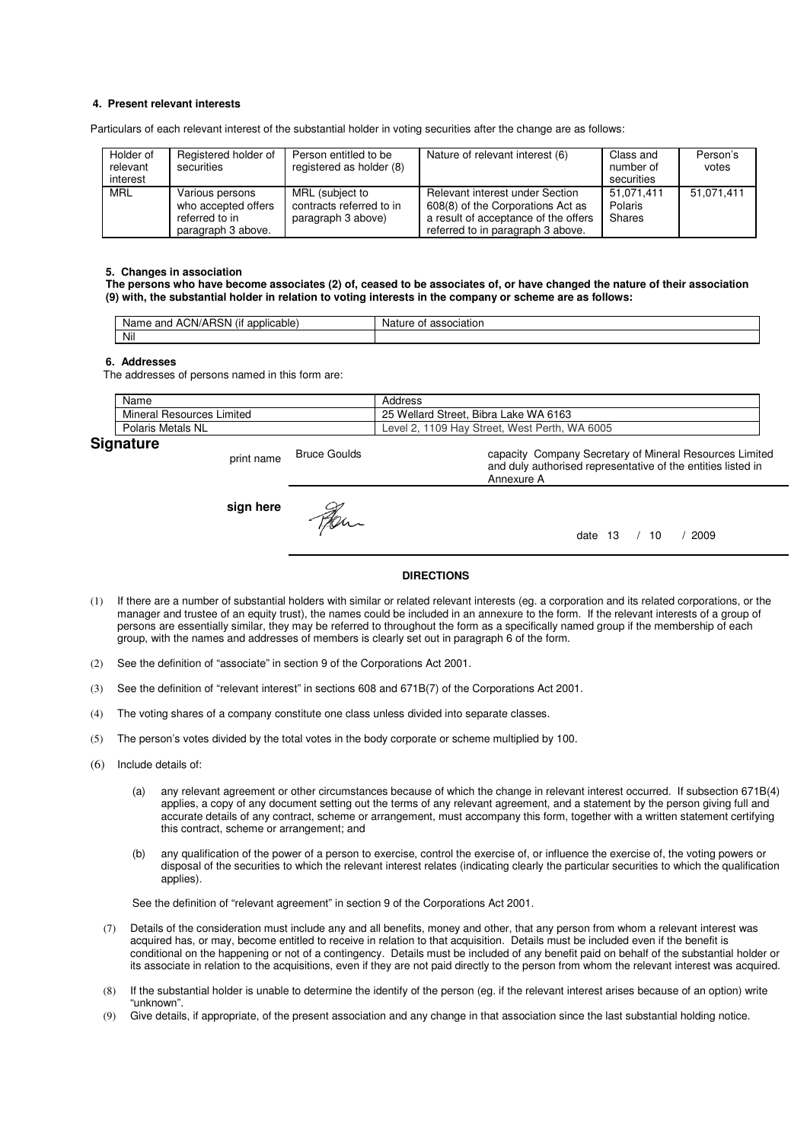## **4. Present relevant interests**

Particulars of each relevant interest of the substantial holder in voting securities after the change are as follows:

| Holder of<br>relevant<br>interest | Registered holder of<br>securities                                             | Person entitled to be<br>registered as holder (8)                 | Nature of relevant interest (6)                                                                                                                   | Class and<br>number of<br>securities | Person's<br>votes |
|-----------------------------------|--------------------------------------------------------------------------------|-------------------------------------------------------------------|---------------------------------------------------------------------------------------------------------------------------------------------------|--------------------------------------|-------------------|
| <b>MRL</b>                        | Various persons<br>who accepted offers<br>referred to in<br>paragraph 3 above. | MRL (subject to<br>contracts referred to in<br>paragraph 3 above) | Relevant interest under Section<br>608(8) of the Corporations Act as<br>a result of acceptance of the offers<br>referred to in paragraph 3 above. | 51.071.411<br>Polaris<br>Shares      | 51,071,411        |

#### **5. Changes in association**

**The persons who have become associates (2) of, ceased to be associates of, or have changed the nature of their association (9) with, the substantial holder in relation to voting interests in the company or scheme are as follows:** 

| $\cdots$<br>ימ<br>ACN/AH<br>and<br>licable:<br>Name<br>ווסו<br>$-1111$<br>. . | ciation<br>Nai.<br>nt |
|-------------------------------------------------------------------------------|-----------------------|
| Nil                                                                           |                       |

#### **6. Addresses**

The addresses of persons named in this form are:

|    | Name                            | Address                                            |
|----|---------------------------------|----------------------------------------------------|
|    | Mineral<br>Limited<br>Resources | . Bibra Lake WA 6163<br>25 Wellard Street.         |
|    | Polaris Metals NL               | WA 6005<br>, 1109 Hay Street, West Perth,<br>Level |
| ~- |                                 |                                                    |

# **Signature**

print name Bruce Goulds capacity Company Secretary of Mineral Resources Limited and duly authorised representative of the entities listed in Annexure A **sign here** Fer. date 13 / 10 / 2009

## **DIRECTIONS**

- (1) If there are a number of substantial holders with similar or related relevant interests (eg. a corporation and its related corporations, or the manager and trustee of an equity trust), the names could be included in an annexure to the form. If the relevant interests of a group of persons are essentially similar, they may be referred to throughout the form as a specifically named group if the membership of each group, with the names and addresses of members is clearly set out in paragraph 6 of the form.
- (2) See the definition of "associate" in section 9 of the Corporations Act 2001.
- (3) See the definition of "relevant interest" in sections 608 and 671B(7) of the Corporations Act 2001.
- (4) The voting shares of a company constitute one class unless divided into separate classes.
- (5) The person's votes divided by the total votes in the body corporate or scheme multiplied by 100.
- (6) Include details of:
	- (a) any relevant agreement or other circumstances because of which the change in relevant interest occurred. If subsection 671B(4) applies, a copy of any document setting out the terms of any relevant agreement, and a statement by the person giving full and accurate details of any contract, scheme or arrangement, must accompany this form, together with a written statement certifying this contract, scheme or arrangement; and
	- (b) any qualification of the power of a person to exercise, control the exercise of, or influence the exercise of, the voting powers or disposal of the securities to which the relevant interest relates (indicating clearly the particular securities to which the qualification applies).

See the definition of "relevant agreement" in section 9 of the Corporations Act 2001.

- (7) Details of the consideration must include any and all benefits, money and other, that any person from whom a relevant interest was acquired has, or may, become entitled to receive in relation to that acquisition. Details must be included even if the benefit is conditional on the happening or not of a contingency. Details must be included of any benefit paid on behalf of the substantial holder or its associate in relation to the acquisitions, even if they are not paid directly to the person from whom the relevant interest was acquired.
- (8) If the substantial holder is unable to determine the identify of the person (eg. if the relevant interest arises because of an option) write "unknown".
- (9) Give details, if appropriate, of the present association and any change in that association since the last substantial holding notice.